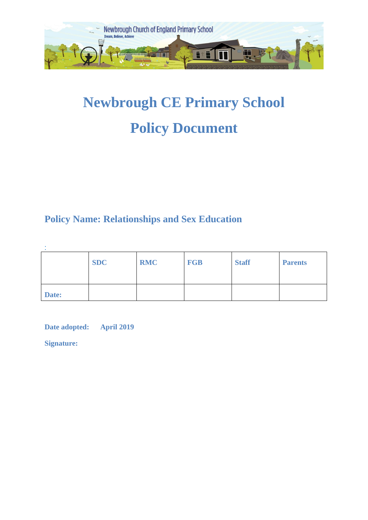

# **Newbrough CE Primary School Policy Document**

# **Policy Name: Relationships and Sex Education**

|       | <b>SDC</b> | <b>RMC</b> | <b>FGB</b> | <b>Staff</b> | <b>Parents</b> |
|-------|------------|------------|------------|--------------|----------------|
| Date: |            |            |            |              |                |

**Date adopted: April 2019** 

**Signature:**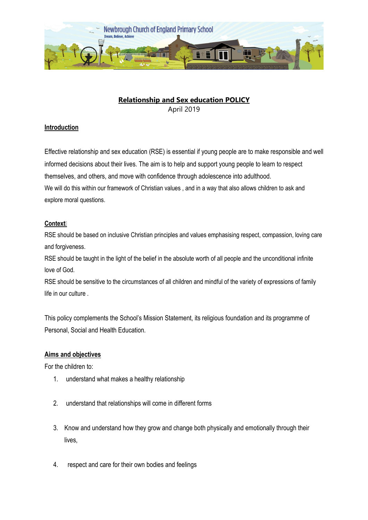

## **Relationship and Sex education POLICY** April 2019

#### **Introduction**

Effective relationship and sex education (RSE) is essential if young people are to make responsible and well informed decisions about their lives. The aim is to help and support young people to learn to respect themselves, and others, and move with confidence through adolescence into adulthood. We will do this within our framework of Christian values , and in a way that also allows children to ask and explore moral questions.

#### **Context‡**

RSE should be based on inclusive Christian principles and values emphasising respect, compassion, loving care and forgiveness.

RSE should be taught in the light of the belief in the absolute worth of all people and the unconditional infinite love of God.

RSE should be sensitive to the circumstances of all children and mindful of the variety of expressions of family life in our culture .

This policy complements the School's Mission Statement, its religious foundation and its programme of Personal, Social and Health Education.

#### **Aims and objectives**

For the children to:

- 1. understand what makes a healthy relationship
- 2. understand that relationships will come in different forms
- 3. Know and understand how they grow and change both physically and emotionally through their lives,
- 4. respect and care for their own bodies and feelings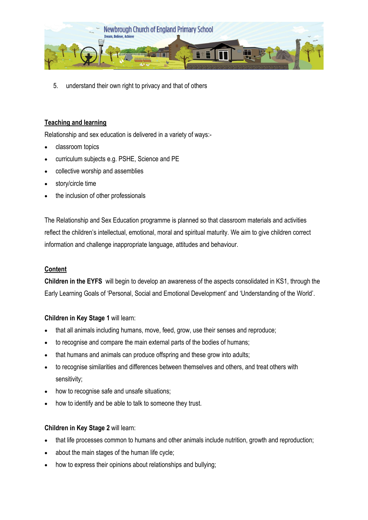

5. understand their own right to privacy and that of others

#### **Teaching and learning**

Relationship and sex education is delivered in a variety of ways:-

- classroom topics
- curriculum subjects e.g. PSHE, Science and PE
- collective worship and assemblies
- story/circle time
- the inclusion of other professionals

The Relationship and Sex Education programme is planned so that classroom materials and activities reflect the children's intellectual, emotional, moral and spiritual maturity. We aim to give children correct information and challenge inappropriate language, attitudes and behaviour.

#### **Content**

**Children in the EYFS** will begin to develop an awareness of the aspects consolidated in KS1, through the Early Learning Goals of 'Personal, Social and Emotional Development' and 'Understanding of the World'.

#### **Children in Key Stage 1** will learn:

- that all animals including humans, move, feed, grow, use their senses and reproduce;
- to recognise and compare the main external parts of the bodies of humans;
- that humans and animals can produce offspring and these grow into adults;
- to recognise similarities and differences between themselves and others, and treat others with sensitivity;
- how to recognise safe and unsafe situations;
- how to identify and be able to talk to someone they trust.

#### **Children in Key Stage 2** will learn:

- that life processes common to humans and other animals include nutrition, growth and reproduction;
- about the main stages of the human life cycle;
- how to express their opinions about relationships and bullying;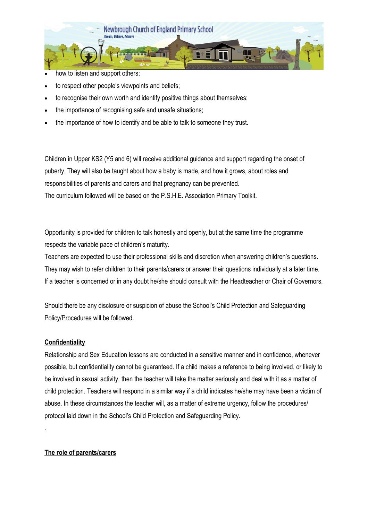

- how to listen and support others;
- to respect other people's viewpoints and beliefs;
- to recognise their own worth and identify positive things about themselves;
- the importance of recognising safe and unsafe situations;
- the importance of how to identify and be able to talk to someone they trust.

Children in Upper KS2 (Y5 and 6) will receive additional guidance and support regarding the onset of puberty. They will also be taught about how a baby is made, and how it grows, about roles and responsibilities of parents and carers and that pregnancy can be prevented. The curriculum followed will be based on the P.S.H.E. Association Primary Toolkit.

Opportunity is provided for children to talk honestly and openly, but at the same time the programme respects the variable pace of children's maturity.

Teachers are expected to use their professional skills and discretion when answering children's questions. They may wish to refer children to their parents/carers or answer their questions individually at a later time. If a teacher is concerned or in any doubt he/she should consult with the Headteacher or Chair of Governors.

Should there be any disclosure or suspicion of abuse the School's Child Protection and Safeguarding Policy/Procedures will be followed.

#### **Confidentiality**

.

Relationship and Sex Education lessons are conducted in a sensitive manner and in confidence, whenever possible, but confidentiality cannot be guaranteed. If a child makes a reference to being involved, or likely to be involved in sexual activity, then the teacher will take the matter seriously and deal with it as a matter of child protection. Teachers will respond in a similar way if a child indicates he/she may have been a victim of abuse. In these circumstances the teacher will, as a matter of extreme urgency, follow the procedures/ protocol laid down in the School's Child Protection and Safeguarding Policy.

#### **The role of parents/carers**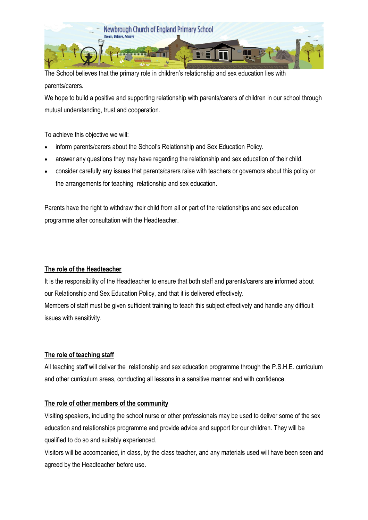

The School believes that the primary role in children's relationship and sex education lies with parents/carers.

We hope to build a positive and supporting relationship with parents/carers of children in our school through mutual understanding, trust and cooperation.

To achieve this objective we will:

- inform parents/carers about the School's Relationship and Sex Education Policy.
- answer any questions they may have regarding the relationship and sex education of their child.
- consider carefully any issues that parents/carers raise with teachers or governors about this policy or the arrangements for teaching relationship and sex education.

Parents have the right to withdraw their child from all or part of the relationships and sex education programme after consultation with the Headteacher.

### **The role of the Headteacher**

It is the responsibility of the Headteacher to ensure that both staff and parents/carers are informed about our Relationship and Sex Education Policy, and that it is delivered effectively.

Members of staff must be given sufficient training to teach this subject effectively and handle any difficult issues with sensitivity.

#### **The role of teaching staff**

All teaching staff will deliver the relationship and sex education programme through the P.S.H.E. curriculum and other curriculum areas, conducting all lessons in a sensitive manner and with confidence.

#### **The role of other members of the community**

Visiting speakers, including the school nurse or other professionals may be used to deliver some of the sex education and relationships programme and provide advice and support for our children. They will be qualified to do so and suitably experienced.

Visitors will be accompanied, in class, by the class teacher, and any materials used will have been seen and agreed by the Headteacher before use.